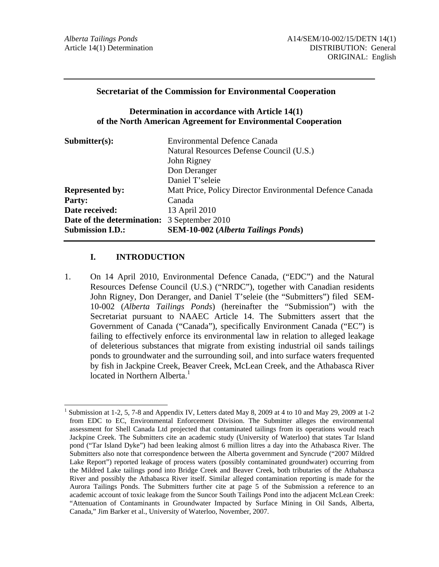### **Secretariat of the Commission for Environmental Cooperation**

### **Determination in accordance with Article 14(1) of the North American Agreement for Environmental Cooperation**

| $\mathbf{Submitter}(s)$ :  | <b>Environmental Defence Canada</b>                      |
|----------------------------|----------------------------------------------------------|
|                            | Natural Resources Defense Council (U.S.)                 |
|                            | John Rigney                                              |
|                            | Don Deranger                                             |
|                            | Daniel T'seleie                                          |
| <b>Represented by:</b>     | Matt Price, Policy Director Environmental Defence Canada |
| <b>Party:</b>              | Canada                                                   |
| Date received:             | 13 April 2010                                            |
| Date of the determination: | 3 September 2010                                         |
| <b>Submission I.D.:</b>    | <b>SEM-10-002</b> (Alberta Tailings Ponds)               |

### **I. INTRODUCTION**

1. On 14 April 2010, Environmental Defence Canada, ("EDC") and the Natural Resources Defense Council (U.S.) ("NRDC"), together with Canadian residents John Rigney, Don Deranger, and Daniel T'seleie (the "Submitters") filed SEM-10-002 (*Alberta Tailings Ponds*) (hereinafter the "Submission") with the Secretariat pursuant to NAAEC Article 14. The Submitters assert that the Government of Canada ("Canada"), specifically Environment Canada ("EC") is failing to effectively enforce its environmental law in relation to alleged leakage of deleterious substances that migrate from existing industrial oil sands tailings ponds to groundwater and the surrounding soil, and into surface waters frequented by fish in Jackpine Creek, Beaver Creek, McLean Creek, and the Athabasca River located in Northern Alberta.<sup>1</sup>

 $\overline{a}$ 1 Submission at 1-2, 5, 7-8 and Appendix IV, Letters dated May 8, 2009 at 4 to 10 and May 29, 2009 at 1-2 from EDC to EC, Environmental Enforcement Division. The Submitter alleges the environmental assessment for Shell Canada Ltd projected that contaminated tailings from its operations would reach Jackpine Creek. The Submitters cite an academic study (University of Waterloo) that states Tar Island pond ("Tar Island Dyke") had been leaking almost 6 million litres a day into the Athabasca River. The Submitters also note that correspondence between the Alberta government and Syncrude ("2007 Mildred Lake Report") reported leakage of process waters (possibly contaminated groundwater) occurring from the Mildred Lake tailings pond into Bridge Creek and Beaver Creek, both tributaries of the Athabasca River and possibly the Athabasca River itself. Similar alleged contamination reporting is made for the Aurora Tailings Ponds. The Submitters further cite at page 5 of the Submission a reference to an academic account of toxic leakage from the Suncor South Tailings Pond into the adjacent McLean Creek: "Attenuation of Contaminants in Groundwater Impacted by Surface Mining in Oil Sands, Alberta, Canada," Jim Barker et al., University of Waterloo, November, 2007.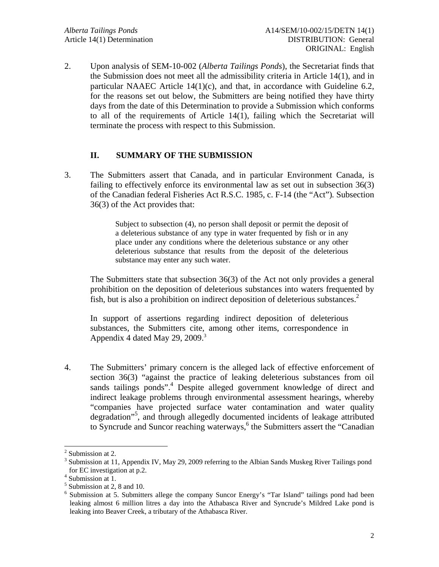2. Upon analysis of SEM-10-002 (*Alberta Tailings Ponds*), the Secretariat finds that the Submission does not meet all the admissibility criteria in Article 14(1), and in particular NAAEC Article 14(1)(c), and that, in accordance with Guideline 6.2, for the reasons set out below, the Submitters are being notified they have thirty days from the date of this Determination to provide a Submission which conforms to all of the requirements of Article 14(1), failing which the Secretariat will terminate the process with respect to this Submission.

# **II. SUMMARY OF THE SUBMISSION**

3. The Submitters assert that Canada, and in particular Environment Canada, is failing to effectively enforce its environmental law as set out in subsection 36(3) of the Canadian federal Fisheries Act R.S.C. 1985, c. F-14 (the "Act")*.* Subsection 36(3) of the Act provides that:

> Subject to subsection (4), no person shall deposit or permit the deposit of a deleterious substance of any type in water frequented by fish or in any place under any conditions where the deleterious substance or any other deleterious substance that results from the deposit of the deleterious substance may enter any such water.

The Submitters state that subsection 36(3) of the Act not only provides a general prohibition on the deposition of deleterious substances into waters frequented by fish, but is also a prohibition on indirect deposition of deleterious substances.<sup>2</sup>

In support of assertions regarding indirect deposition of deleterious substances, the Submitters cite, among other items, correspondence in Appendix 4 dated May 29, 2009. $3$ 

4. The Submitters' primary concern is the alleged lack of effective enforcement of section 36(3) "against the practice of leaking deleterious substances from oil sands tailings ponds".<sup>4</sup> Despite alleged government knowledge of direct and indirect leakage problems through environmental assessment hearings, whereby "companies have projected surface water contamination and water quality degradation"<sup>5</sup> , and through allegedly documented incidents of leakage attributed to Syncrude and Suncor reaching waterways,<sup>6</sup> the Submitters assert the "Canadian

<sup>&</sup>lt;sup>2</sup> Submission at 2.

<sup>&</sup>lt;sup>3</sup> Submission at 11, Appendix IV, May 29, 2009 referring to the Albian Sands Muskeg River Tailings pond for EC investigation at p.2.

<sup>4</sup> Submission at 1.

<sup>5</sup> Submission at 2, 8 and 10.

<sup>&</sup>lt;sup>6</sup> Submission at 5. Submitters allege the company Suncor Energy's "Tar Island" tailings pond had been leaking almost 6 million litres a day into the Athabasca River and Syncrude's Mildred Lake pond is leaking into Beaver Creek, a tributary of the Athabasca River.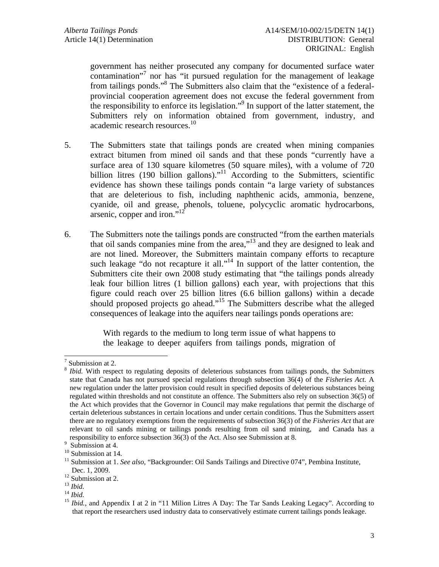government has neither prosecuted any company for documented surface water contamination"<sup>7</sup> nor has "it pursued regulation for the management of leakage from tailings ponds."<sup>8</sup> The Submitters also claim that the "existence of a federalprovincial cooperation agreement does not excuse the federal government from the responsibility to enforce its legislation."<sup>9</sup> In support of the latter statement, the Submitters rely on information obtained from government, industry, and academic research resources.<sup>10</sup>

- 5. The Submitters state that tailings ponds are created when mining companies extract bitumen from mined oil sands and that these ponds "currently have a surface area of 130 square kilometres (50 square miles), with a volume of 720 billion litres (190 billion gallons)."<sup>11</sup> According to the Submitters, scientific evidence has shown these tailings ponds contain "a large variety of substances that are deleterious to fish, including naphthenic acids, ammonia, benzene, cyanide, oil and grease, phenols, toluene, polycyclic aromatic hydrocarbons, arsenic, copper and iron."<sup>12</sup>
- 6. The Submitters note the tailings ponds are constructed "from the earthen materials that oil sands companies mine from the area,"13 and they are designed to leak and are not lined. Moreover, the Submitters maintain company efforts to recapture such leakage "do not recapture it all."<sup>14</sup> In support of the latter contention, the Submitters cite their own 2008 study estimating that "the tailings ponds already leak four billion litres (1 billion gallons) each year, with projections that this figure could reach over 25 billion litres (6.6 billion gallons) within a decade should proposed projects go ahead."15 The Submitters describe what the alleged consequences of leakage into the aquifers near tailings ponds operations are:

With regards to the medium to long term issue of what happens to the leakage to deeper aquifers from tailings ponds, migration of

<sup>7</sup> Submission at 2.

*Ibid.* With respect to regulating deposits of deleterious substances from tailings ponds, the Submitters state that Canada has not pursued special regulations through subsection 36(4) of the *Fisheries Act.* A new regulation under the latter provision could result in specified deposits of deleterious substances being regulated within thresholds and not constitute an offence. The Submitters also rely on subsection 36(5) of the Act which provides that the Governor in Council may make regulations that permit the discharge of certain deleterious substances in certain locations and under certain conditions. Thus the Submitters assert there are no regulatory exemptions from the requirements of subsection 36(3) of the *Fisheries Act* that are relevant to oil sands mining or tailings ponds resulting from oil sand mining, and Canada has a responsibility to enforce subsection 36(3) of the Act. Also see Submission at 8.

 $9 \tSubmission at 4.$ 

<sup>&</sup>lt;sup>10</sup> Submission at 14.

<sup>&</sup>lt;sup>11</sup> Submission at 1. *See also*, "Backgrounder: Oil Sands Tailings and Directive 074", Pembina Institute,

Dec. 1, 2009.<br><sup>12</sup> Submission at 2.<br><sup>13</sup> *Ibid.* 

<sup>14</sup> *Ibid.*<br><sup>15</sup> *Ibid.*, and Appendix I at 2 in "11 Milion Litres A Day: The Tar Sands Leaking Legacy". According to that report the researchers used industry data to conservatively estimate current tailings ponds leakage.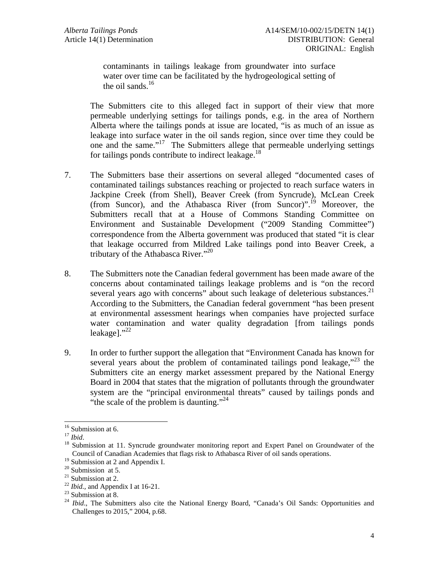contaminants in tailings leakage from groundwater into surface water over time can be facilitated by the hydrogeological setting of the oil sands.<sup>16</sup>

The Submitters cite to this alleged fact in support of their view that more permeable underlying settings for tailings ponds, e.g. in the area of Northern Alberta where the tailings ponds at issue are located, "is as much of an issue as leakage into surface water in the oil sands region, since over time they could be one and the same."17 The Submitters allege that permeable underlying settings for tailings ponds contribute to indirect leakage.<sup>18</sup>

- 7. The Submitters base their assertions on several alleged "documented cases of contaminated tailings substances reaching or projected to reach surface waters in Jackpine Creek (from Shell), Beaver Creek (from Syncrude), McLean Creek (from Suncor), and the Athabasca River (from Suncor)".<sup>19</sup> Moreover, the Submitters recall that at a House of Commons Standing Committee on Environment and Sustainable Development ("2009 Standing Committee") correspondence from the Alberta government was produced that stated "it is clear that leakage occurred from Mildred Lake tailings pond into Beaver Creek, a tributary of the Athabasca River."<sup>20</sup>
- 8. The Submitters note the Canadian federal government has been made aware of the concerns about contaminated tailings leakage problems and is "on the record several years ago with concerns" about such leakage of deleterious substances.<sup>21</sup> According to the Submitters, the Canadian federal government "has been present at environmental assessment hearings when companies have projected surface water contamination and water quality degradation [from tailings ponds leakage]. $"^{22}$
- 9. In order to further support the allegation that "Environment Canada has known for several years about the problem of contaminated tailings pond leakage, $123$  the Submitters cite an energy market assessment prepared by the National Energy Board in 2004 that states that the migration of pollutants through the groundwater system are the "principal environmental threats" caused by tailings ponds and "the scale of the problem is daunting."<sup>24</sup>

<sup>&</sup>lt;sup>16</sup> Submission at 6.

<sup>17</sup> *Ibid.*<br><sup>17</sup> *Ibid.* 18 Submission at 11. Syncrude groundwater monitoring report and Expert Panel on Groundwater of the Council of Canadian Academies that flags risk to Athabasca River of oil sands operations.

<sup>&</sup>lt;sup>19</sup> Submission at 2 and Appendix I.

 $20$  Submission at 5.

 $21$  Submission at 2.

 $^{22}$  *Ibid.*, and Appendix I at 16-21.<br><sup>23</sup> Submission at 8.

<sup>&</sup>lt;sup>24</sup> Ibid., The Submitters also cite the National Energy Board, "Canada's Oil Sands: Opportunities and Challenges to 2015," 2004, p.68.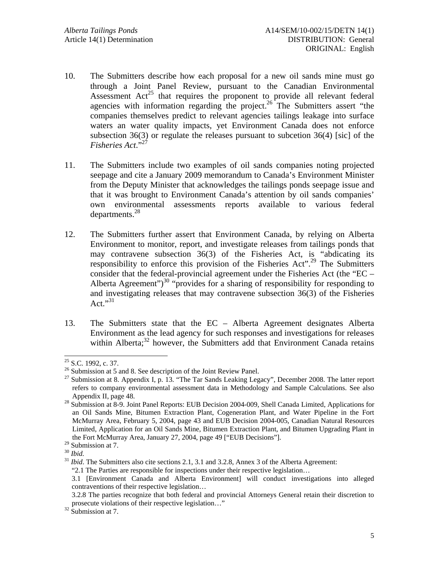- 10. The Submitters describe how each proposal for a new oil sands mine must go through a Joint Panel Review, pursuant to the Canadian Environmental Assessment  $Act^{25}$  that requires the proponent to provide all relevant federal agencies with information regarding the project.<sup>26</sup> The Submitters assert "the companies themselves predict to relevant agencies tailings leakage into surface waters an water quality impacts, yet Environment Canada does not enforce subsection 36(3) or regulate the releases pursuant to subcetion 36(4) [sic] of the *Fisheries Act*."27
- 11. The Submitters include two examples of oil sands companies noting projected seepage and cite a January 2009 memorandum to Canada's Environment Minister from the Deputy Minister that acknowledges the tailings ponds seepage issue and that it was brought to Environment Canada's attention by oil sands companies' own environmental assessments reports available to various federal departments.<sup>28</sup>
- 12. The Submitters further assert that Environment Canada, by relying on Alberta Environment to monitor, report, and investigate releases from tailings ponds that may contravene subsection 36(3) of the Fisheries Act, is "abdicating its responsibility to enforce this provision of the Fisheries Act".<sup>29</sup> The Submitters consider that the federal-provincial agreement under the Fisheries Act (the "EC – Alberta Agreement")<sup>30</sup> "provides for a sharing of responsibility for responding to and investigating releases that may contravene subsection 36(3) of the Fisheries Act." $31$
- 13. The Submitters state that the EC Alberta Agreement designates Alberta Environment as the lead agency for such responses and investigations for releases within Alberta;<sup>32</sup> however, the Submitters add that Environment Canada retains

 $\overline{a}$  $25$  S.C. 1992, c. 37.

 $26$  Submission at 5 and 8. See description of the Joint Review Panel.

 $27$  Submission at 8. Appendix I, p. 13. "The Tar Sands Leaking Legacy", December 2008. The latter report refers to company environmental assessment data in Methodology and Sample Calculations. See also

Appendix II, page 48. 28 Submission at 8-9. Joint Panel Reports: EUB Decision 2004-009, Shell Canada Limited, Applications for an Oil Sands Mine, Bitumen Extraction Plant, Cogeneration Plant, and Water Pipeline in the Fort McMurray Area, February 5, 2004, page 43 and EUB Decision 2004-005, Canadian Natural Resources Limited, Application for an Oil Sands Mine, Bitumen Extraction Plant, and Bitumen Upgrading Plant in the Fort McMurray Area, January 27, 2004, page 49 ["EUB Decisions"].

<sup>&</sup>lt;sup>29</sup> Submission at 7.<br><sup>30</sup> *Ibid.* 

<sup>&</sup>lt;sup>31</sup> *Ibid*. The Submitters also cite sections 2.1, 3.1 and 3.2.8, Annex 3 of the Alberta Agreement:

<sup>&</sup>quot;2.1 The Parties are responsible for inspections under their respective legislation…

<sup>3.1 [</sup>Environment Canada and Alberta Environment] will conduct investigations into alleged contraventions of their respective legislation…

<sup>3.2.8</sup> The parties recognize that both federal and provincial Attorneys General retain their discretion to prosecute violations of their respective legislation..."<br><sup>32</sup> Submission at 7.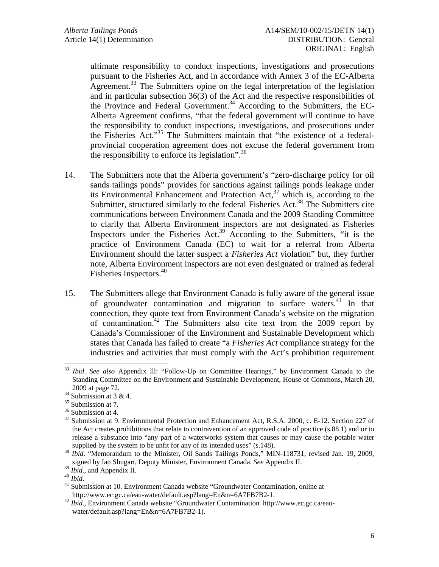ultimate responsibility to conduct inspections, investigations and prosecutions pursuant to the Fisheries Act, and in accordance with Annex 3 of the EC-Alberta Agreement.<sup>33</sup> The Submitters opine on the legal interpretation of the legislation and in particular subsection 36(3) of the Act and the respective responsibilities of the Province and Federal Government.<sup>34</sup> According to the Submitters, the EC-Alberta Agreement confirms, "that the federal government will continue to have the responsibility to conduct inspections, investigations, and prosecutions under the Fisheries Act."<sup>35</sup> The Submitters maintain that "the existence of a federalprovincial cooperation agreement does not excuse the federal government from the responsibility to enforce its legislation". $36$ 

- 14. The Submitters note that the Alberta government's "zero-discharge policy for oil sands tailings ponds" provides for sanctions against tailings ponds leakage under its Environmental Enhancement and Protection Act,  $37$  which is, according to the Submitter, structured similarly to the federal Fisheries Act*.* 38 The Submitters cite communications between Environment Canada and the 2009 Standing Committee to clarify that Alberta Environment inspectors are not designated as Fisheries Inspectors under the Fisheries Act.<sup>39</sup> According to the Submitters, "it is the practice of Environment Canada (EC) to wait for a referral from Alberta Environment should the latter suspect a *Fisheries Act* violation" but, they further note, Alberta Environment inspectors are not even designated or trained as federal Fisheries Inspectors.<sup>40</sup>
- 15. The Submitters allege that Environment Canada is fully aware of the general issue of groundwater contamination and migration to surface waters.41 In that connection, they quote text from Environment Canada's website on the migration of contamination.<sup>42</sup> The Submitters also cite text from the 2009 report by Canada's Commissioner of the Environment and Sustainable Development which states that Canada has failed to create "a *Fisheries Act* compliance strategy for the industries and activities that must comply with the Act's prohibition requirement

 $\overline{a}$ <sup>33</sup> *Ibid*. *See also* Appendix lll: "Follow-Up on Committee Hearings," by Environment Canada to the Standing Committee on the Environment and Sustainable Development, House of Commons, March 20,

<sup>2009</sup> at page 72.<br> $34$  Submission at 3 & 4.

<sup>&</sup>lt;sup>35</sup> Submission at 7.

<sup>&</sup>lt;sup>36</sup> Submission at 4.

<sup>&</sup>lt;sup>37</sup> Submission at 9. Environmental Protection and Enhancement Act, R.S.A. 2000, c. E-12. Section 227 of the Act creates prohibitions that relate to contravention of an approved code of practice (s.88.1) and or to release a substance into "any part of a waterworks system that causes or may cause the potable water

supplied by the system to be unfit for any of its intended uses" (s.148). 38 *Ibid*. "Memorandum to the Minister, Oil Sands Tailings Ponds," MIN-118731, revised Jan. 19, 2009, signed by Ian Shugart, Deputy Minister, Environment Canada. *See* Appendix II.<sup>39</sup> *Ibid.*, and Appendix II.

<sup>&</sup>lt;sup>40</sup> *Ibid.*<br><sup>41</sup> Submission at 10. Environment Canada website "Groundwater Contamination, online at http://www.ec.gc.ca/eau-water/default.asp?lang=En&n=6A7FB7B2-1. 42 *Ibid*., Environment Canada website "Groundwater Contamination http://www.ec.gc.ca/eau-

water/default.asp?lang=En&n=6A7FB7B2-1).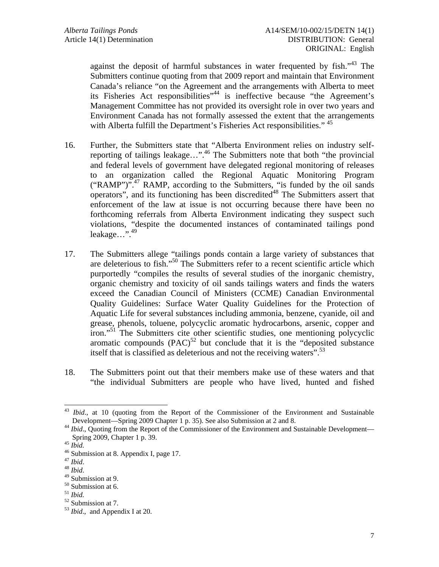against the deposit of harmful substances in water frequented by fish.<sup>43</sup> The Submitters continue quoting from that 2009 report and maintain that Environment Canada's reliance "on the Agreement and the arrangements with Alberta to meet its Fisheries Act responsibilities"44 is ineffective because "the Agreement's Management Committee has not provided its oversight role in over two years and Environment Canada has not formally assessed the extent that the arrangements with Alberta fulfill the Department's Fisheries Act responsibilities." <sup>45</sup>

- 16. Further, the Submitters state that "Alberta Environment relies on industry selfreporting of tailings leakage…".46 The Submitters note that both "the provincial and federal levels of government have delegated regional monitoring of releases to an organization called the Regional Aquatic Monitoring Program ("RAMP")".<sup>47</sup> RAMP, according to the Submitters, "is funded by the oil sands operators", and its functioning has been discredited<sup>48</sup> The Submitters assert that enforcement of the law at issue is not occurring because there have been no forthcoming referrals from Alberta Environment indicating they suspect such violations, "despite the documented instances of contaminated tailings pond leakage…".49
- 17. The Submitters allege "tailings ponds contain a large variety of substances that are deleterious to fish."50 The Submitters refer to a recent scientific article which purportedly "compiles the results of several studies of the inorganic chemistry, organic chemistry and toxicity of oil sands tailings waters and finds the waters exceed the Canadian Council of Ministers (CCME) Canadian Environmental Quality Guidelines: Surface Water Quality Guidelines for the Protection of Aquatic Life for several substances including ammonia, benzene, cyanide, oil and grease, phenols, toluene, polycyclic aromatic hydrocarbons, arsenic, copper and iron."51 The Submitters cite other scientific studies, one mentioning polycyclic aromatic compounds  $(PAC)^{52}$  but conclude that it is the "deposited substance" itself that is classified as deleterious and not the receiving waters".<sup>53</sup>
- 18. The Submitters point out that their members make use of these waters and that "the individual Submitters are people who have lived, hunted and fished

 $\overline{a}$ <sup>43</sup> *Ibid.*, at 10 (quoting from the Report of the Commissioner of the Environment and Sustainable

Development—Spring 2009 Chapter 1 p. 35). See also Submission at 2 and 8. 44 *Ibid*., Quoting from the Report of the Commissioner of the Environment and Sustainable Development—

Spring 2009, Chapter 1 p. 39.<br><sup>45</sup> *Ibid.* <sup>46</sup> Submission at 8. Appendix I, page 17.<br><sup>47</sup> *Ibid.* 

<sup>47</sup> *Ibid*. 48 *Ibid*. 49 Submission at 9.

 $^{50}$  Submission at 6.<br> $^{51}$  *Ibid.* 

<sup>&</sup>lt;sup>52</sup> Submission at 7.

<sup>53</sup> *Ibid*., and Appendix I at 20.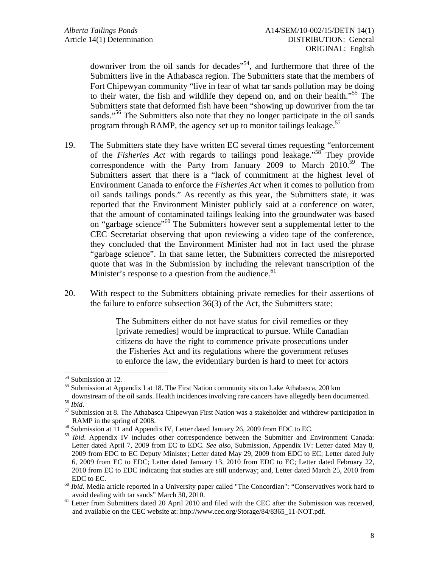downriver from the oil sands for decades<sup>"54</sup>, and furthermore that three of the Submitters live in the Athabasca region. The Submitters state that the members of Fort Chipewyan community "live in fear of what tar sands pollution may be doing to their water, the fish and wildlife they depend on, and on their health.<sup>55</sup> The Submitters state that deformed fish have been "showing up downriver from the tar sands."<sup>56</sup> The Submitters also note that they no longer participate in the oil sands program through RAMP, the agency set up to monitor tailings leakage.<sup>57</sup>

- 19. The Submitters state they have written EC several times requesting "enforcement of the *Fisheries Act* with regards to tailings pond leakage."58 They provide correspondence with the Party from January 2009 to March 2010.<sup>59</sup> The Submitters assert that there is a "lack of commitment at the highest level of Environment Canada to enforce the *Fisheries Act* when it comes to pollution from oil sands tailings ponds." As recently as this year, the Submitters state, it was reported that the Environment Minister publicly said at a conference on water, that the amount of contaminated tailings leaking into the groundwater was based on "garbage science"<sup>60</sup> The Submitters however sent a supplemental letter to the CEC Secretariat observing that upon reviewing a video tape of the conference, they concluded that the Environment Minister had not in fact used the phrase "garbage science". In that same letter, the Submitters corrected the misreported quote that was in the Submission by including the relevant transcription of the Minister's response to a question from the audience.<sup>61</sup>
- 20. With respect to the Submitters obtaining private remedies for their assertions of the failure to enforce subsection 36(3) of the Act, the Submitters state:

The Submitters either do not have status for civil remedies or they [private remedies] would be impractical to pursue. While Canadian citizens do have the right to commence private prosecutions under the Fisheries Act and its regulations where the government refuses to enforce the law, the evidentiary burden is hard to meet for actors

<sup>&</sup>lt;sup>54</sup> Submission at 12.

<sup>55</sup> Submission at Appendix I at 18. The First Nation community sits on Lake Athabasca, 200 km

downstream of the oil sands. Health incidences involving rare cancers have allegedly been documented.<br><sup>56</sup> *Ibid*. <sup>57</sup> Submission at 8. The Athabasca Chipewyan First Nation was a stakeholder and withdrew participation in

RAMP in the spring of 2008.<br><sup>58</sup> Submission at 11 and Appendix IV, Letter dated January 26, 2009 from EDC to EC.

<sup>&</sup>lt;sup>59</sup> *Ibid*. Appendix IV includes other correspondence between the Submitter and Environment Canada: Letter dated April 7, 2009 from EC to EDC. *See also*, Submission, Appendix IV: Letter dated May 8, 2009 from EDC to EC Deputy Minister; Letter dated May 29, 2009 from EDC to EC; Letter dated July 6, 2009 from EC to EDC; Letter dated January 13, 2010 from EDC to EC; Letter dated February 22, 2010 from EC to EDC indicating that studies are still underway; and, Letter dated March 25, 2010 from

EDC to EC.<br><sup>60</sup> *Ibid*. Media article reported in a University paper called "The Concordian": "Conservatives work hard to avoid dealing with tar sands" March 30, 2010.

 $61$  Letter from Submitters dated 20 April 2010 and filed with the CEC after the Submission was received, and available on the CEC website at: http://www.cec.org/Storage/84/8365\_11-NOT.pdf.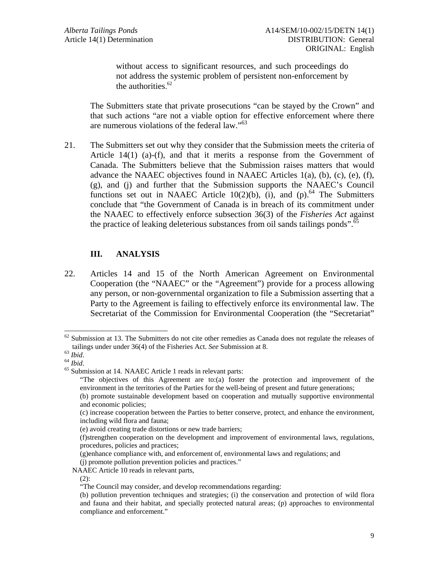without access to significant resources, and such proceedings do not address the systemic problem of persistent non-enforcement by the authorities. 62

The Submitters state that private prosecutions "can be stayed by the Crown" and that such actions "are not a viable option for effective enforcement where there are numerous violations of the federal law."<sup>63</sup>

21. The Submitters set out why they consider that the Submission meets the criteria of Article  $14(1)$  (a)-(f), and that it merits a response from the Government of Canada. The Submitters believe that the Submission raises matters that would advance the NAAEC objectives found in NAAEC Articles  $1(a)$ ,  $(b)$ ,  $(c)$ ,  $(e)$ ,  $(f)$ , (g), and (j) and further that the Submission supports the NAAEC's Council functions set out in NAAEC Article 10(2)(b), (i), and (p).<sup>64</sup> The Submitters conclude that "the Government of Canada is in breach of its commitment under the NAAEC to effectively enforce subsection 36(3) of the *Fisheries Act* against the practice of leaking deleterious substances from oil sands tailings ponds".<sup>65</sup>

# **III. ANALYSIS**

22. Articles 14 and 15 of the North American Agreement on Environmental Cooperation (the "NAAEC" or the "Agreement") provide for a process allowing any person, or non-governmental organization to file a Submission asserting that a Party to the Agreement is failing to effectively enforce its environmental law. The Secretariat of the Commission for Environmental Cooperation (the "Secretariat"

 $\overline{a}$ 

(j) promote pollution prevention policies and practices."

<sup>&</sup>lt;sup>62</sup> Submission at 13. The Submitters do not cite other remedies as Canada does not regulate the releases of tailings under under  $36(4)$  of the Fisheries Act. *See* Submission at 8.

<sup>&</sup>lt;sup>63</sup> *Ibid.* <sup>64</sup> *Ibid. See Ibid.* 64 *Ibid.* 64 *Ibid.* 65 Submission at 14. NAAEC Article 1 reads in relevant parts:

<sup>&</sup>quot;The objectives of this Agreement are to:(a) foster the protection and improvement of the environment in the territories of the Parties for the well-being of present and future generations;

 <sup>(</sup>b) promote sustainable development based on cooperation and mutually supportive environmental and economic policies;

 <sup>(</sup>c) increase cooperation between the Parties to better conserve, protect, and enhance the environment, including wild flora and fauna;

 <sup>(</sup>e) avoid creating trade distortions or new trade barriers;

 <sup>(</sup>f)strengthen cooperation on the development and improvement of environmental laws, regulations, procedures, policies and practices;

 <sup>(</sup>g)enhance compliance with, and enforcement of, environmental laws and regulations; and

NAAEC Article 10 reads in relevant parts,

 $(2)$ :

 <sup>&</sup>quot;The Council may consider, and develop recommendations regarding:

<sup>(</sup>b) pollution prevention techniques and strategies; (i) the conservation and protection of wild flora and fauna and their habitat, and specially protected natural areas; (p) approaches to environmental compliance and enforcement."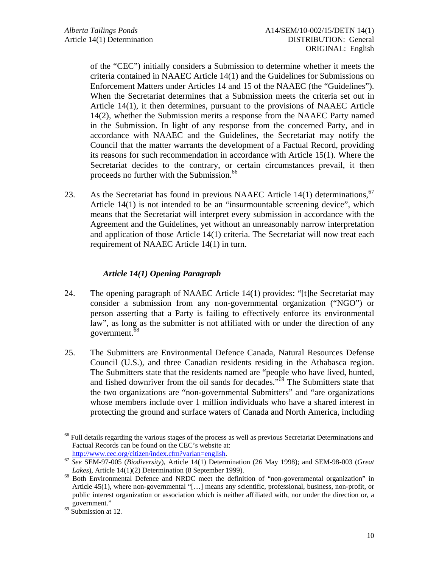of the "CEC") initially considers a Submission to determine whether it meets the criteria contained in NAAEC Article 14(1) and the Guidelines for Submissions on Enforcement Matters under Articles 14 and 15 of the NAAEC (the "Guidelines"). When the Secretariat determines that a Submission meets the criteria set out in Article 14(1), it then determines, pursuant to the provisions of NAAEC Article 14(2), whether the Submission merits a response from the NAAEC Party named in the Submission. In light of any response from the concerned Party, and in accordance with NAAEC and the Guidelines, the Secretariat may notify the Council that the matter warrants the development of a Factual Record, providing its reasons for such recommendation in accordance with Article 15(1). Where the Secretariat decides to the contrary, or certain circumstances prevail, it then proceeds no further with the Submission.<sup>66</sup>

23. As the Secretariat has found in previous NAAEC Article  $14(1)$  determinations, <sup>67</sup> Article 14(1) is not intended to be an "insurmountable screening device", which means that the Secretariat will interpret every submission in accordance with the Agreement and the Guidelines, yet without an unreasonably narrow interpretation and application of those Article 14(1) criteria. The Secretariat will now treat each requirement of NAAEC Article 14(1) in turn.

# *Article 14(1) Opening Paragraph*

- 24. The opening paragraph of NAAEC Article 14(1) provides: "[t]he Secretariat may consider a submission from any non-governmental organization ("NGO") or person asserting that a Party is failing to effectively enforce its environmental law", as long as the submitter is not affiliated with or under the direction of any government.<sup>68</sup>
- 25. The Submitters are Environmental Defence Canada, Natural Resources Defense Council (U.S.), and three Canadian residents residing in the Athabasca region. The Submitters state that the residents named are "people who have lived, hunted, and fished downriver from the oil sands for decades."<sup>69</sup> The Submitters state that the two organizations are "non-governmental Submitters" and "are organizations whose members include over 1 million individuals who have a shared interest in protecting the ground and surface waters of Canada and North America, including

 $\overline{a}$ <sup>66</sup> Full details regarding the various stages of the process as well as previous Secretariat Determinations and Factual Records can be found on the CEC's website at:

http://www.cec.org/citizen/index.cfm?varlan=english. 67 *See* SEM-97-005 (*Biodiversity*), Article 14(1) Determination (26 May 1998); and SEM-98-003 (*Great* 

<sup>&</sup>lt;sup>68</sup> Both Environmental Defence and NRDC meet the definition of "non-governmental organization" in Article 45(1), where non-governmental "[…] means any scientific, professional, business, non-profit, or public interest organization or association which is neither affiliated with, nor under the direction or, a government." 69 Submission at 12.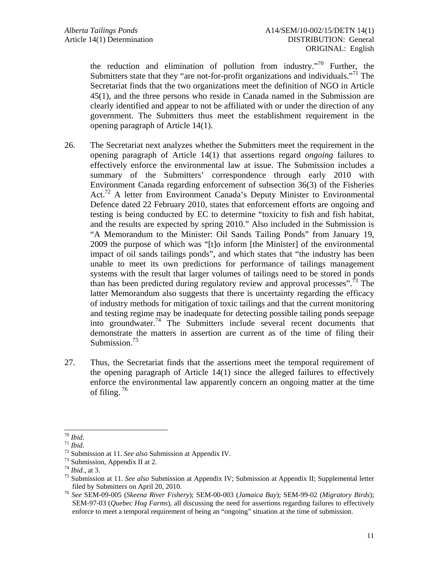the reduction and elimination of pollution from industry."70 Further, the Submitters state that they "are not-for-profit organizations and individuals."<sup>71</sup> The Secretariat finds that the two organizations meet the definition of NGO in Article 45(1), and the three persons who reside in Canada named in the Submission are clearly identified and appear to not be affiliated with or under the direction of any government. The Submitters thus meet the establishment requirement in the opening paragraph of Article 14(1).

- 26. The Secretariat next analyzes whether the Submitters meet the requirement in the opening paragraph of Article 14(1) that assertions regard *ongoing* failures to effectively enforce the environmental law at issue. The Submission includes a summary of the Submitters' correspondence through early 2010 with Environment Canada regarding enforcement of subsection 36(3) of the Fisheries Act.<sup>72</sup> A letter from Environment Canada's Deputy Minister to Environmental Defence dated 22 February 2010, states that enforcement efforts are ongoing and testing is being conducted by EC to determine "toxicity to fish and fish habitat, and the results are expected by spring 2010." Also included in the Submission is "A Memorandum to the Minister: Oil Sands Tailing Ponds" from January 19, 2009 the purpose of which was "[t]o inform [the Minister] of the environmental impact of oil sands tailings ponds", and which states that "the industry has been unable to meet its own predictions for performance of tailings management systems with the result that larger volumes of tailings need to be stored in ponds than has been predicted during regulatory review and approval processes".<sup>73</sup> The latter Memorandum also suggests that there is uncertainty regarding the efficacy of industry methods for mitigation of toxic tailings and that the current monitoring and testing regime may be inadequate for detecting possible tailing ponds seepage into groundwater.<sup>74</sup> The Submitters include several recent documents that demonstrate the matters in assertion are current as of the time of filing their Submission.<sup>75</sup>
- 27. Thus, the Secretariat finds that the assertions meet the temporal requirement of the opening paragraph of Article 14(1) since the alleged failures to effectively enforce the environmental law apparently concern an ongoing matter at the time of filing.  $76$

 $70$  Ibid.

<sup>&</sup>lt;sup>71</sup> *Ibid.*<br><sup>72</sup> Submission at 11. *See also* Submission at Appendix IV.<br><sup>73</sup> Submission, Appendix II at 2.<br><sup>74</sup> *Ibid.*, at 3.

<sup>&</sup>lt;sup>75</sup> Submission at 11. *See also* Submission at Appendix IV; Submission at Appendix II; Supplemental letter

filed by Submitters on April 20, 2010. 76 *See* SEM-09-005 (*Skeena River Fishery*); SEM-00-003 (*Jamaica Bay*); SEM-99-02 (*Migratory Birds*); SEM-97-03 (*Quebec Hog Farms*), all discussing the need for assertions regarding failures to effectively enforce to meet a temporal requirement of being an "ongoing" situation at the time of submission.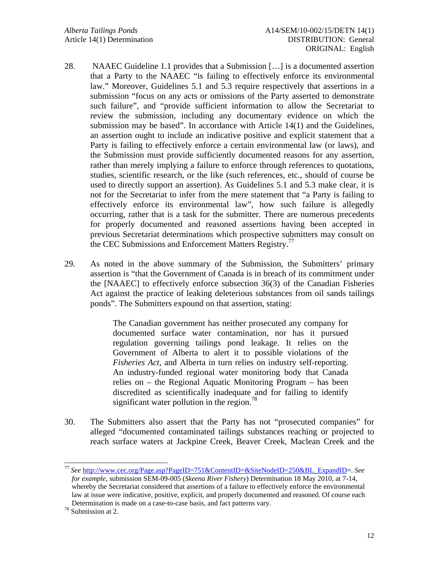- 28. NAAEC Guideline 1.1 provides that a Submission […] is a documented assertion that a Party to the NAAEC "is failing to effectively enforce its environmental law." Moreover, Guidelines 5.1 and 5.3 require respectively that assertions in a submission "focus on any acts or omissions of the Party asserted to demonstrate such failure", and "provide sufficient information to allow the Secretariat to review the submission, including any documentary evidence on which the submission may be based". In accordance with Article 14(1) and the Guidelines, an assertion ought to include an indicative positive and explicit statement that a Party is failing to effectively enforce a certain environmental law (or laws), and the Submission must provide sufficiently documented reasons for any assertion, rather than merely implying a failure to enforce through references to quotations, studies, scientific research, or the like (such references, etc., should of course be used to directly support an assertion). As Guidelines 5.1 and 5.3 make clear, it is not for the Secretariat to infer from the mere statement that "a Party is failing to effectively enforce its environmental law", how such failure is allegedly occurring, rather that is a task for the submitter. There are numerous precedents for properly documented and reasoned assertions having been accepted in previous Secretariat determinations which prospective submitters may consult on the CEC Submissions and Enforcement Matters Registry.<sup>77</sup>
- 29. As noted in the above summary of the Submission, the Submitters' primary assertion is "that the Government of Canada is in breach of its commitment under the [NAAEC] to effectively enforce subsection 36(3) of the Canadian Fisheries Act against the practice of leaking deleterious substances from oil sands tailings ponds". The Submitters expound on that assertion, stating:

The Canadian government has neither prosecuted any company for documented surface water contamination, nor has it pursued regulation governing tailings pond leakage. It relies on the Government of Alberta to alert it to possible violations of the *Fisheries Act*, and Alberta in turn relies on industry self-reporting. An industry-funded regional water monitoring body that Canada relies on – the Regional Aquatic Monitoring Program – has been discredited as scientifically inadequate and for failing to identify significant water pollution in the region.<sup>78</sup>

30. The Submitters also assert that the Party has not "prosecuted companies" for alleged "documented contaminated tailings substances reaching or projected to reach surface waters at Jackpine Creek, Beaver Creek, Maclean Creek and the

l

<sup>77</sup> *See* http://www.cec.org/Page.asp?PageID=751&ContentID=&SiteNodeID=250&BL\_ExpandID=. *See for example*, submission SEM-09-005 (*Skeena River Fishery*) Determination 18 May 2010, at 7-14, whereby the Secretariat considered that assertions of a failure to effectively enforce the environmental law at issue were indicative, positive, explicit, and properly documented and reasoned. Of course each Determination is made on a case-to-case basis, and fact patterns vary. 78 Submission at 2.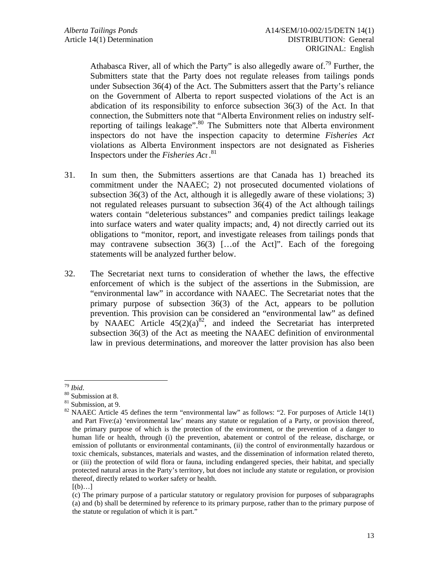Athabasca River, all of which the Party" is also allegedly aware of.<sup>79</sup> Further, the Submitters state that the Party does not regulate releases from tailings ponds under Subsection 36(4) of the Act. The Submitters assert that the Party's reliance on the Government of Alberta to report suspected violations of the Act is an abdication of its responsibility to enforce subsection 36(3) of the Act. In that connection, the Submitters note that "Alberta Environment relies on industry selfreporting of tailings leakage".<sup>80</sup> The Submitters note that Alberta environment inspectors do not have the inspection capacity to determine *Fisheries Act* violations as Alberta Environment inspectors are not designated as Fisheries Inspectors under the *Fisheries Act* . 81

- 31. In sum then, the Submitters assertions are that Canada has 1) breached its commitment under the NAAEC; 2) not prosecuted documented violations of subsection 36(3) of the Act, although it is allegedly aware of these violations; 3) not regulated releases pursuant to subsection 36(4) of the Act although tailings waters contain "deleterious substances" and companies predict tailings leakage into surface waters and water quality impacts; and, 4) not directly carried out its obligations to "monitor, report, and investigate releases from tailings ponds that may contravene subsection 36(3) […of the Act]". Each of the foregoing statements will be analyzed further below.
- 32. The Secretariat next turns to consideration of whether the laws, the effective enforcement of which is the subject of the assertions in the Submission, are "environmental law" in accordance with NAAEC. The Secretariat notes that the primary purpose of subsection 36(3) of the Act, appears to be pollution prevention. This provision can be considered an "environmental law" as defined by NAAEC Article  $45(2)(a)^{82}$ , and indeed the Secretariat has interpreted subsection 36(3) of the Act as meeting the NAAEC definition of environmental law in previous determinations, and moreover the latter provision has also been

 $79$  Ibid.

<sup>&</sup>lt;sup>80</sup> Submission at 8.

<sup>&</sup>lt;sup>81</sup> Submission, at 9.

 $82$  NAAEC Article 45 defines the term "environmental law" as follows: "2. For purposes of Article 14(1) and Part Five:(a) 'environmental law' means any statute or regulation of a Party, or provision thereof, the primary purpose of which is the protection of the environment, or the prevention of a danger to human life or health, through (i) the prevention, abatement or control of the release, discharge, or emission of pollutants or environmental contaminants, (ii) the control of environmentally hazardous or toxic chemicals, substances, materials and wastes, and the dissemination of information related thereto, or (iii) the protection of wild flora or fauna, including endangered species, their habitat, and specially protected natural areas in the Party's territory, but does not include any statute or regulation, or provision thereof, directly related to worker safety or health.

 $[(b)...]$ 

 <sup>(</sup>c) The primary purpose of a particular statutory or regulatory provision for purposes of subparagraphs (a) and (b) shall be determined by reference to its primary purpose, rather than to the primary purpose of the statute or regulation of which it is part."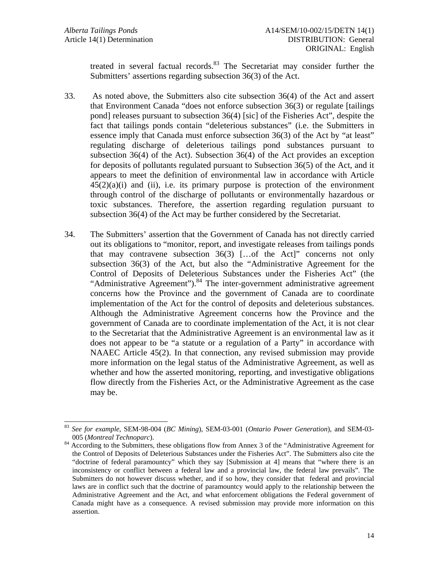$\overline{a}$ 

treated in several factual records.<sup>83</sup> The Secretariat may consider further the Submitters' assertions regarding subsection 36(3) of the Act.

- 33. As noted above, the Submitters also cite subsection 36(4) of the Act and assert that Environment Canada "does not enforce subsection 36(3) or regulate [tailings pond] releases pursuant to subsection 36(4) [sic] of the Fisheries Act", despite the fact that tailings ponds contain "deleterious substances" (i.e. the Submitters in essence imply that Canada must enforce subsection 36(3) of the Act by "at least" regulating discharge of deleterious tailings pond substances pursuant to subsection 36(4) of the Act). Subsection 36(4) of the Act provides an exception for deposits of pollutants regulated pursuant to Subsection 36(5) of the Act, and it appears to meet the definition of environmental law in accordance with Article  $45(2)(a)(i)$  and (ii), i.e. its primary purpose is protection of the environment through control of the discharge of pollutants or environmentally hazardous or toxic substances. Therefore, the assertion regarding regulation pursuant to subsection 36(4) of the Act may be further considered by the Secretariat.
- 34. The Submitters' assertion that the Government of Canada has not directly carried out its obligations to "monitor, report, and investigate releases from tailings ponds that may contravene subsection 36(3) […of the Act]" concerns not only subsection 36(3) of the Act, but also the "Administrative Agreement for the Control of Deposits of Deleterious Substances under the Fisheries Act" (the "Administrative Agreement"). $84$  The inter-government administrative agreement concerns how the Province and the government of Canada are to coordinate implementation of the Act for the control of deposits and deleterious substances. Although the Administrative Agreement concerns how the Province and the government of Canada are to coordinate implementation of the Act, it is not clear to the Secretariat that the Administrative Agreement is an environmental law as it does not appear to be "a statute or a regulation of a Party" in accordance with NAAEC Article 45(2). In that connection, any revised submission may provide more information on the legal status of the Administrative Agreement, as well as whether and how the asserted monitoring, reporting, and investigative obligations flow directly from the Fisheries Act, or the Administrative Agreement as the case may be.

<sup>83</sup> *See for example*, SEM-98-004 (*BC Mining*), SEM-03-001 (*Ontario Power Generation*), and SEM-03-

<sup>005 (</sup>*Montreal Technoparc*). 84 According to the Submitters, these obligations flow from Annex 3 of the "Administrative Agreement for the Control of Deposits of Deleterious Substances under the Fisheries Act". The Submitters also cite the "doctrine of federal paramountcy" which they say [Submission at 4] means that "where there is an inconsistency or conflict between a federal law and a provincial law, the federal law prevails". The Submitters do not however discuss whether, and if so how, they consider that federal and provincial laws are in conflict such that the doctrine of paramountcy would apply to the relationship between the Administrative Agreement and the Act, and what enforcement obligations the Federal government of Canada might have as a consequence. A revised submission may provide more information on this assertion.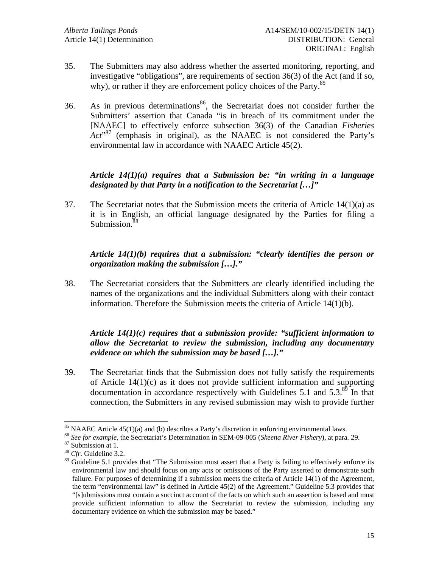- 35. The Submitters may also address whether the asserted monitoring, reporting, and investigative "obligations", are requirements of section 36(3) of the Act (and if so, why), or rather if they are enforcement policy choices of the Party.<sup>85</sup>
- 36. As in previous determinations<sup>86</sup>, the Secretariat does not consider further the Submitters' assertion that Canada "is in breach of its commitment under the [NAAEC] to effectively enforce subsection 36(3) of the Canadian *Fisheries*  Act<sup>37</sup> (emphasis in original), as the NAAEC is not considered the Party's environmental law in accordance with NAAEC Article 45(2).

# *Article 14(1)(a) requires that a Submission be: "in writing in a language designated by that Party in a notification to the Secretariat […]"*

37. The Secretariat notes that the Submission meets the criteria of Article 14(1)(a) as it is in English, an official language designated by the Parties for filing a Submission.<sup>88</sup>

# *Article 14(1)(b) requires that a submission: "clearly identifies the person or organization making the submission […]."*

38. The Secretariat considers that the Submitters are clearly identified including the names of the organizations and the individual Submitters along with their contact information. Therefore the Submission meets the criteria of Article 14(1)(b).

# *Article 14(1)(c) requires that a submission provide: "sufficient information to allow the Secretariat to review the submission, including any documentary evidence on which the submission may be based […]."*

39. The Secretariat finds that the Submission does not fully satisfy the requirements of Article 14(1)(c) as it does not provide sufficient information and supporting documentation in accordance respectively with Guidelines  $5.1$  and  $5.3$ <sup>89</sup>. In that connection, the Submitters in any revised submission may wish to provide further

 $85$  NAAEC Article 45(1)(a) and (b) describes a Party's discretion in enforcing environmental laws.

<sup>&</sup>lt;sup>86</sup> *See for example*, the Secretariat's Determination in SEM-09-005 (*Skeena River Fishery*), at para. 29. <sup>87</sup> Submission at 1.

<sup>88</sup> *Cfr.* Guideline 3.2.

<sup>&</sup>lt;sup>89</sup> Guideline 5.1 provides that "The Submission must assert that a Party is failing to effectively enforce its environmental law and should focus on any acts or omissions of the Party asserted to demonstrate such failure. For purposes of determining if a submission meets the criteria of Article 14(1) of the Agreement, the term "environmental law" is defined in Article 45(2) of the Agreement." Guideline 5.3 provides that "[s]ubmissions must contain a succinct account of the facts on which such an assertion is based and must provide sufficient information to allow the Secretariat to review the submission, including any documentary evidence on which the submission may be based."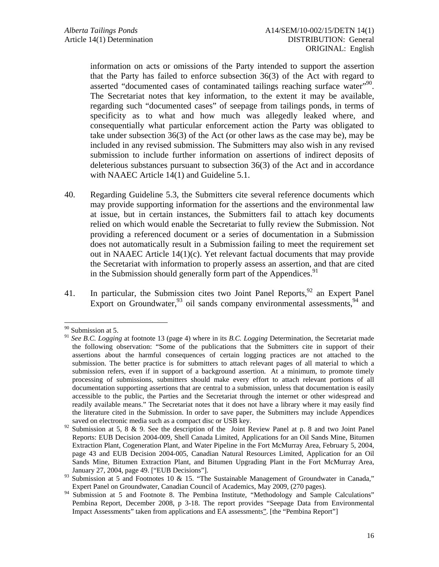information on acts or omissions of the Party intended to support the assertion that the Party has failed to enforce subsection 36(3) of the Act with regard to asserted "documented cases of contaminated tailings reaching surface water"<sup>90</sup>. The Secretariat notes that key information, to the extent it may be available, regarding such "documented cases" of seepage from tailings ponds, in terms of specificity as to what and how much was allegedly leaked where, and consequentially what particular enforcement action the Party was obligated to take under subsection 36(3) of the Act (or other laws as the case may be), may be included in any revised submission. The Submitters may also wish in any revised submission to include further information on assertions of indirect deposits of deleterious substances pursuant to subsection 36(3) of the Act and in accordance with NAAEC Article 14(1) and Guideline 5.1.

- 40. Regarding Guideline 5.3, the Submitters cite several reference documents which may provide supporting information for the assertions and the environmental law at issue, but in certain instances, the Submitters fail to attach key documents relied on which would enable the Secretariat to fully review the Submission. Not providing a referenced document or a series of documentation in a Submission does not automatically result in a Submission failing to meet the requirement set out in NAAEC Article 14(1)(c). Yet relevant factual documents that may provide the Secretariat with information to properly assess an assertion, and that are cited in the Submission should generally form part of the Appendices.<sup>91</sup>
- 41. In particular, the Submission cites two Joint Panel Reports,  $92$  an Expert Panel Export on Groundwater,  $93$  oil sands company environmental assessments,  $94$  and

<sup>90</sup> Submission at 5.

<sup>91</sup> *See B.C. Logging* at footnote 13 (page 4) where in its *B.C. Logging* Determination, the Secretariat made the following observation: "Some of the publications that the Submitters cite in support of their assertions about the harmful consequences of certain logging practices are not attached to the submission. The better practice is for submitters to attach relevant pages of all material to which a submission refers, even if in support of a background assertion. At a minimum, to promote timely processing of submissions, submitters should make every effort to attach relevant portions of all documentation supporting assertions that are central to a submission, unless that documentation is easily accessible to the public, the Parties and the Secretariat through the internet or other widespread and readily available means." The Secretariat notes that it does not have a library where it may easily find the literature cited in the Submission. In order to save paper, the Submitters may include Appendices saved on electronic media such as a compact disc or USB key.

<sup>&</sup>lt;sup>92</sup> Submission at 5, 8 & 9. See the description of the Joint Review Panel at p. 8 and two Joint Panel Reports: EUB Decision 2004-009, Shell Canada Limited, Applications for an Oil Sands Mine, Bitumen Extraction Plant, Cogeneration Plant, and Water Pipeline in the Fort McMurray Area, February 5, 2004, page 43 and EUB Decision 2004-005, Canadian Natural Resources Limited, Application for an Oil Sands Mine, Bitumen Extraction Plant, and Bitumen Upgrading Plant in the Fort McMurray Area, January 27, 2004, page 49. ["EUB Decisions"].

<sup>93</sup> Submission at 5 and Footnotes 10 & 15. "The Sustainable Management of Groundwater in Canada," Expert Panel on Groundwater, Canadian Council of Academics, May 2009, (270 pages).

<sup>&</sup>lt;sup>94</sup> Submission at 5 and Footnote 8. The Pembina Institute, "Methodology and Sample Calculations" Pembina Report, December 2008, p 3-18. The report provides "Seepage Data from Environmental Impact Assessments" taken from applications and EA assessments". [the "Pembina Report"]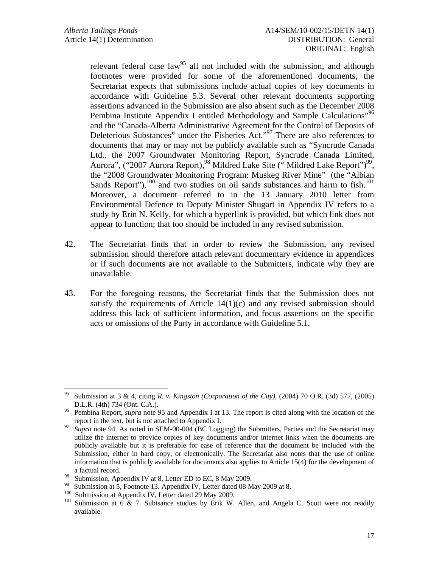relevant federal case law<sup>95</sup> all not included with the submission, and although footnotes were provided for some of the aforementioned documents, the Secretariat expects that submissions include actual copies of key documents in accordance with Guideline 5.3. Several other relevant documents supporting assertions advanced in the Submission are also absent such as the December 2008 Pembina Institute Appendix I entitled Methodology and Sample Calculations"<sup>96</sup> and the "Canada-Alberta Administrative Agreement for the Control of Deposits of Deleterious Substances" under the Fisheries Act."<sup>97</sup> There are also references to documents that may or may not be publicly available such as "Syncrude Canada Ltd., the 2007 Groundwater Monitoring Report, Syncrude Canada Limited, Aurora", ("2007 Aurora Report),<sup>98</sup> Mildred Lake Site (" Mildred Lake Report")<sup>99</sup>, the "2008 Groundwater Monitoring Program: Muskeg River Mine" (the "Albian Sands Report"), $^{100}$  and two studies on oil sands substances and harm to fish. $^{101}$ Moreover, a document referred to in the 13 January 2010 letter from Environmental Defence to Deputy Minister Shugart in Appendix IV refers to a study by Erin N. Kelly, for which a hyperlink is provided, but which link does not appear to function; that too should be included in any revised submission.

- 42. The Secretariat finds that in order to review the Submission, any revised submission should therefore attach relevant documentary evidence in appendices or if such documents are not available to the Submitters, indicate why they are unavailable.
- 43. For the foregoing reasons, the Secretariat finds that the Submission does not satisfy the requirements of Article 14(1)(c) and any revised submission should address this lack of sufficient information, and focus assertions on the specific acts or omissions of the Party in accordance with Guideline 5.1.

<sup>99</sup> Submission at 5, Footnote 13. Appendix IV, Letter dated 08 May 2009 at 8.<br><sup>100</sup> Submission at Appendix IV, Letter dated 20 May 2000.

<sup>95</sup> 95 Submission at 3 & 4, citing *R. v. Kingston (Corporation of the City)*, (2004) 70 O.R. (3d) 577, (2005) D.L.R. (4th) 734 (Ont. C.A.).<br>Pembina Report, *supra* note 95 and Appendix I at 13. The report is cited along with the location of the

report in the text, but is not attached to Appendix I.<br>*Supra* note 94. As noted in SEM-00-004 (BC Logging) the Submitters, Parties and the Secretariat may

utilize the internet to provide copies of key documents and/or internet links when the documents are publicly available but it is preferable for ease of reference that the document be included with the Submission, either in hard copy, or electronically. The Secretariat also notes that the use of online information that is publicly available for documents also applies to Article 15(4) for the development of a factual record.

<sup>&</sup>lt;sup>98</sup> Submission, Appendix IV at 8, Letter ED to EC, 8 May 2009.

<sup>&</sup>lt;sup>100</sup> Submission at Appendix IV, Letter dated 29 May 2009.<br><sup>101</sup> Submission at 6 & 7. Subtsance studies by Erik W. Allen, and Angela C. Scott were not readily available.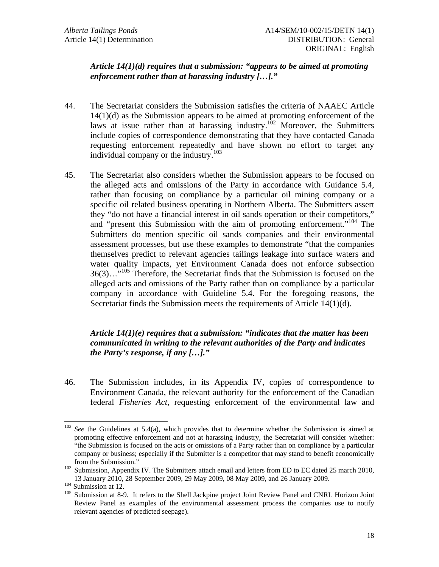## *Article 14(1)(d) requires that a submission: "appears to be aimed at promoting enforcement rather than at harassing industry […]."*

- 44. The Secretariat considers the Submission satisfies the criteria of NAAEC Article 14(1)(d) as the Submission appears to be aimed at promoting enforcement of the laws at issue rather than at harassing industry.<sup>102</sup> Moreover, the Submitters include copies of correspondence demonstrating that they have contacted Canada requesting enforcement repeatedly and have shown no effort to target any individual company or the industry.<sup>103</sup>
- 45. The Secretariat also considers whether the Submission appears to be focused on the alleged acts and omissions of the Party in accordance with Guidance 5.4, rather than focusing on compliance by a particular oil mining company or a specific oil related business operating in Northern Alberta. The Submitters assert they "do not have a financial interest in oil sands operation or their competitors," and "present this Submission with the aim of promoting enforcement."<sup>104</sup> The Submitters do mention specific oil sands companies and their environmental assessment processes, but use these examples to demonstrate "that the companies themselves predict to relevant agencies tailings leakage into surface waters and water quality impacts, yet Environment Canada does not enforce subsection  $36(3)$ ..."<sup>105</sup> Therefore, the Secretariat finds that the Submission is focused on the alleged acts and omissions of the Party rather than on compliance by a particular company in accordance with Guideline 5.4. For the foregoing reasons, the Secretariat finds the Submission meets the requirements of Article 14(1)(d).

# *Article 14(1)(e) requires that a submission: "indicates that the matter has been communicated in writing to the relevant authorities of the Party and indicates the Party's response, if any […]."*

46. The Submission includes, in its Appendix IV, copies of correspondence to Environment Canada, the relevant authority for the enforcement of the Canadian federal *Fisheries Act*, requesting enforcement of the environmental law and

<sup>&</sup>lt;sup>102</sup> *See* the Guidelines at 5.4(a), which provides that to determine whether the Submission is aimed at promoting effective enforcement and not at harassing industry, the Secretariat will consider whether: "the Submission is focused on the acts or omissions of a Party rather than on compliance by a particular company or business; especially if the Submitter is a competitor that may stand to benefit economically

from the Submission."<br><sup>103</sup> Submission, Appendix IV. The Submitters attach email and letters from ED to EC dated 25 march 2010,

<sup>13</sup> January 2010, 28 September 2009, 29 May 2009, 08 May 2009, and 26 January 2009. 104 Submission at 12. 105 Submission at 8-9. It refers to the Shell Jackpine project Joint Review Panel and CNRL Horizon Joint Review Panel as examples of the environmental assessment process the companies use to notify relevant agencies of predicted seepage).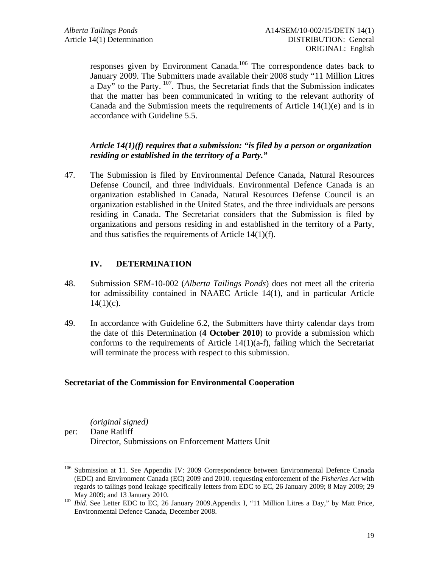responses given by Environment Canada.<sup>106</sup> The correspondence dates back to January 2009. The Submitters made available their 2008 study "11 Million Litres a Day" to the Party. <sup>107</sup>. Thus, the Secretariat finds that the Submission indicates that the matter has been communicated in writing to the relevant authority of Canada and the Submission meets the requirements of Article  $14(1)(e)$  and is in accordance with Guideline 5.5.

## *Article 14(1)(f) requires that a submission: "is filed by a person or organization residing or established in the territory of a Party."*

47. The Submission is filed by Environmental Defence Canada, Natural Resources Defense Council, and three individuals. Environmental Defence Canada is an organization established in Canada, Natural Resources Defense Council is an organization established in the United States, and the three individuals are persons residing in Canada. The Secretariat considers that the Submission is filed by organizations and persons residing in and established in the territory of a Party, and thus satisfies the requirements of Article 14(1)(f).

# **IV. DETERMINATION**

- 48. Submission SEM-10-002 (*Alberta Tailings Ponds*) does not meet all the criteria for admissibility contained in NAAEC Article 14(1), and in particular Article  $14(1)(c)$ .
- 49. In accordance with Guideline 6.2, the Submitters have thirty calendar days from the date of this Determination (**4 October 2010**) to provide a submission which conforms to the requirements of Article 14(1)(a-f), failing which the Secretariat will terminate the process with respect to this submission.

### **Secretariat of the Commission for Environmental Cooperation**

*(original signed)* 

l

per: Dane Ratliff Director, Submissions on Enforcement Matters Unit

<sup>&</sup>lt;sup>106</sup> Submission at 11. See Appendix IV: 2009 Correspondence between Environmental Defence Canada (EDC) and Environment Canada (EC) 2009 and 2010. requesting enforcement of the *Fisheries Act* with regards to tailings pond leakage specifically letters from EDC to EC, 26 January 2009; 8 May 2009; 29

May 2009; and 13 January 2010. 107 *Ibid.* See Letter EDC to EC, 26 January 2009.Appendix I, "11 Million Litres a Day," by Matt Price, Environmental Defence Canada, December 2008.